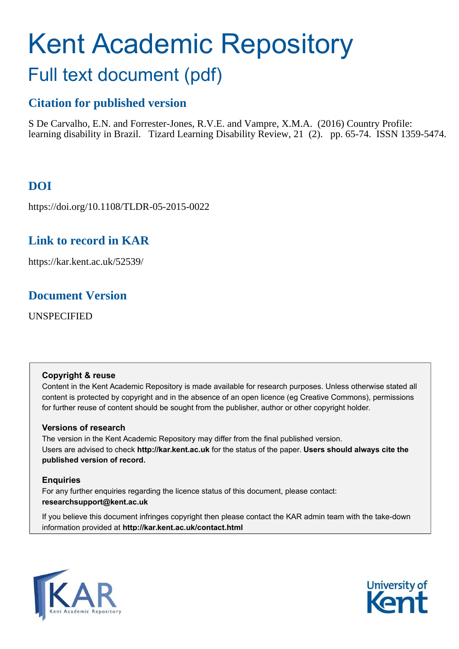# Kent Academic Repository Full text document (pdf)

# **Citation for published version**

S De Carvalho, E.N. and Forrester-Jones, R.V.E. and Vampre, X.M.A. (2016) Country Profile: learning disability in Brazil. Tizard Learning Disability Review, 21 (2). pp. 65-74. ISSN 1359-5474.

# **DOI**

https://doi.org/10.1108/TLDR-05-2015-0022

# **Link to record in KAR**

https://kar.kent.ac.uk/52539/

## **Document Version**

UNSPECIFIED

### **Copyright & reuse**

Content in the Kent Academic Repository is made available for research purposes. Unless otherwise stated all content is protected by copyright and in the absence of an open licence (eg Creative Commons), permissions for further reuse of content should be sought from the publisher, author or other copyright holder.

## **Versions of research**

The version in the Kent Academic Repository may differ from the final published version. Users are advised to check **http://kar.kent.ac.uk** for the status of the paper. **Users should always cite the published version of record.**

## **Enquiries**

For any further enquiries regarding the licence status of this document, please contact: **researchsupport@kent.ac.uk**

If you believe this document infringes copyright then please contact the KAR admin team with the take-down information provided at **http://kar.kent.ac.uk/contact.html**



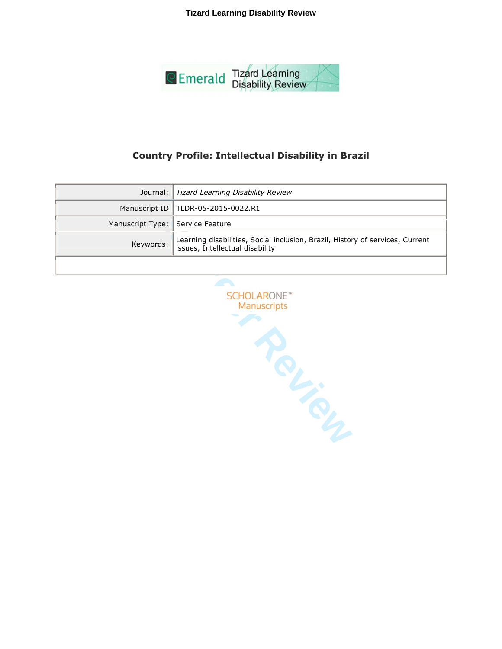**Tizard Learning Disability Review** 



## **Country Profile: Intellectual Disability in Brazil**

|                                  | Journal:   Tizard Learning Disability Review                                                                     |
|----------------------------------|------------------------------------------------------------------------------------------------------------------|
|                                  | Manuscript ID   TLDR-05-2015-0022.R1                                                                             |
| Manuscript Type: Service Feature |                                                                                                                  |
| Keywords:                        | Learning disabilities, Social inclusion, Brazil, History of services, Current<br>issues, Intellectual disability |
|                                  |                                                                                                                  |

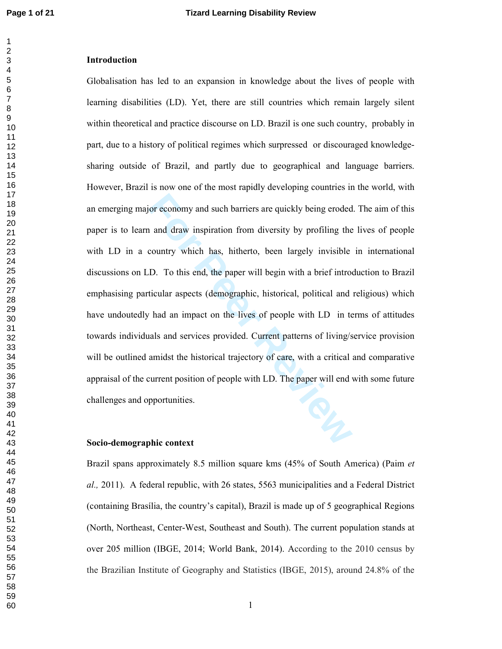#### $\overline{2}$

#### **Introduction**

Globalisation has led to an expansion in knowledge about the lives of people with learning disabilities (LD). Yet, there are still countries which remain largely silent within theoretical and practice discourse on LD. Brazil is one such country, probably in part, due to a history of political regimes which surpressed or discouraged knowledgesharing outside of Brazil, and partly due to geographical and language barriers. However, Brazil is now one of the most rapidly developing countries in the world, with an emerging major economy and such barriers are quickly being eroded. The aim of this paper is to learn and draw inspiration from diversity by profiling the lives of people with LD in a country which has, hitherto, been largely invisible in international discussions on LD. To this end, the paper will begin with a brief introduction to Brazil emphasising particular aspects (demographic, historical, political and religious) which have undoutedly had an impact on the lives of people with LD in terms of attitudes towards individuals and services provided. Current patterns of living/service provision will be outlined amidst the historical trajectory of care, with a critical and comparative appraisal of the current position of people with LD. The paper will end with some future challenges and opportunities.

#### Socio-demographic context

Brazil spans approximately 8.5 million square kms (45% of South America) (Paim et al., 2011). A federal republic, with 26 states, 5563 municipalities and a Federal District (containing Brasília, the country's capital). Brazil is made up of 5 geographical Regions (North, Northeast, Center-West, Southeast and South). The current population stands at over 205 million (IBGE, 2014; World Bank, 2014). According to the 2010 census by the Brazilian Institute of Geography and Statistics (IBGE, 2015), around 24.8% of the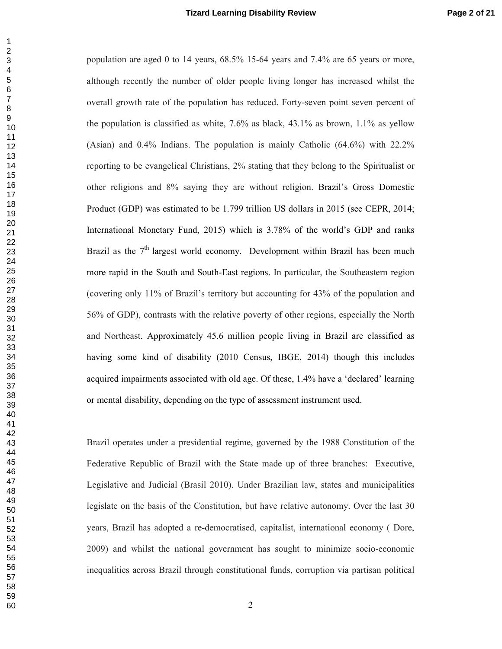population are aged 0 to 14 years, 68.5% 15-64 years and 7.4% are 65 years or more, although recently the number of older people living longer has increased whilst the overall growth rate of the population has reduced. Forty-seven point seven percent of the population is classified as white,  $7.6\%$  as black,  $43.1\%$  as brown,  $1.1\%$  as yellow (Asian) and  $0.4\%$  Indians. The population is mainly Catholic  $(64.6\%)$  with  $22.2\%$ reporting to be evangelical Christians, 2% stating that they belong to the Spiritualist or other religions and 8% saying they are without religion. Brazil's Gross Domestic Product (GDP) was estimated to be 1.799 trillion US dollars in 2015 (see CEPR, 2014; International Monetary Fund, 2015) which is 3.78% of the world's GDP and ranks Brazil as the  $7<sup>th</sup>$  largest world economy. Development within Brazil has been much more rapid in the South and South-East regions. In particular, the Southeastern region (covering only 11% of Brazil's territory but accounting for 43% of the population and 56% of GDP), contrasts with the relative poverty of other regions, especially the North and Northeast. Approximately 45.6 million people living in Brazil are classified as having some kind of disability (2010 Census, IBGE, 2014) though this includes acquired impairments associated with old age. Of these, 1.4% have a 'declared' learning or mental disability, depending on the type of assessment instrument used.

Brazil operates under a presidential regime, governed by the 1988 Constitution of the Federative Republic of Brazil with the State made up of three branches: Executive, Legislative and Judicial (Brasil 2010). Under Brazilian law, states and municipalities legislate on the basis of the Constitution, but have relative autonomy. Over the last 30 years, Brazil has adopted a re-democratised, capitalist, international economy (Dore, 2009) and whilst the national government has sought to minimize socio-economic inequalities across Brazil through constitutional funds, corruption via partisan political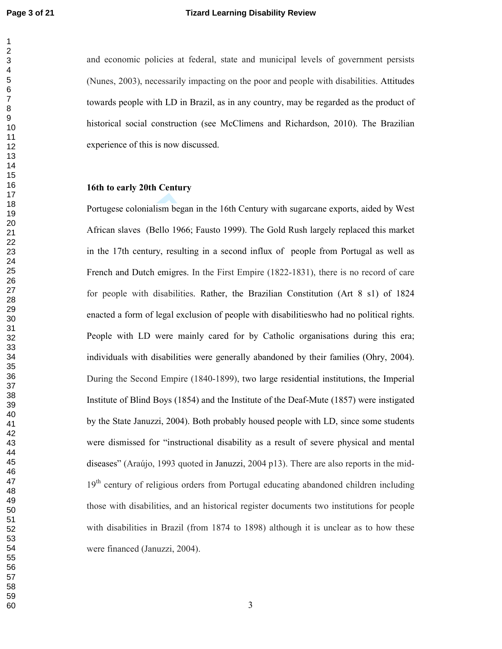$\mathbf{1}$  $\overline{2}$ 

and economic policies at federal, state and municipal levels of government persists (Nunes, 2003), necessarily impacting on the poor and people with disabilities. Attitudes towards people with LD in Brazil, as in any country, may be regarded as the product of historical social construction (see McClimens and Richardson, 2010). The Brazilian experience of this is now discussed.

#### 16th to early 20th Century

Portugese colonialism began in the 16th Century with sugarcane exports, aided by West African slaves (Bello 1966; Fausto 1999). The Gold Rush largely replaced this market in the 17th century, resulting in a second influx of people from Portugal as well as French and Dutch emigres. In the First Empire (1822-1831), there is no record of care for people with disabilities. Rather, the Brazilian Constitution (Art 8 s1) of 1824 enacted a form of legal exclusion of people with disabilities who had no political rights. People with LD were mainly cared for by Catholic organisations during this era; individuals with disabilities were generally abandoned by their families (Ohry, 2004). During the Second Empire (1840-1899), two large residential institutions, the Imperial Institute of Blind Boys (1854) and the Institute of the Deaf-Mute (1857) were instigated by the State Januzzi, 2004). Both probably housed people with LD, since some students were dismissed for "instructional disability as a result of severe physical and mental diseases" (Araújo, 1993 quoted in Januzzi, 2004 p13). There are also reports in the mid-19<sup>th</sup> century of religious orders from Portugal educating abandoned children including those with disabilities, and an historical register documents two institutions for people with disabilities in Brazil (from 1874 to 1898) although it is unclear as to how these were financed (Januzzi, 2004).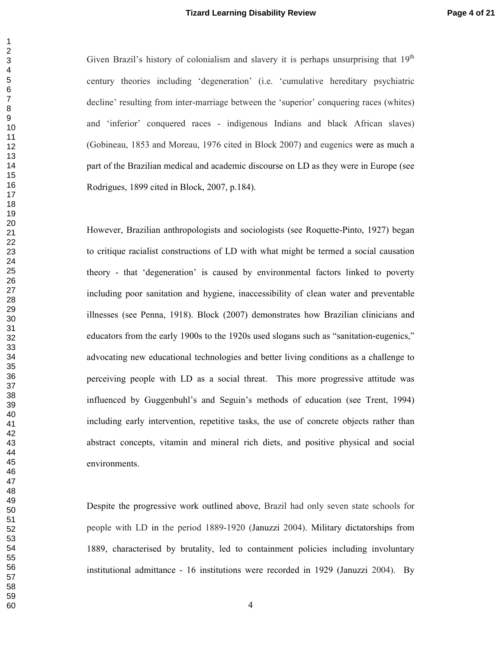Given Brazil's history of colonialism and slavery it is perhaps unsurprising that  $19<sup>th</sup>$ century theories including 'degeneration' (i.e. 'cumulative hereditary psychiatric decline' resulting from inter-marriage between the 'superior' conquering races (whites) and 'inferior' conquered races - indigenous Indians and black African slaves) (Gobineau, 1853 and Moreau, 1976 cited in Block 2007) and eugenics were as much a part of the Brazilian medical and academic discourse on LD as they were in Europe (see Rodrigues, 1899 cited in Block, 2007, p.184).

ian anthropologists and sociologists (see Roquette-Pir<br>
list constructions of LD with what might be termed a<br>
legeneration' is caused by environmental factors line<br>
sanitation and hygiene, inaccessibility of clean water<br>
r However, Brazilian anthropologists and sociologists (see Roquette-Pinto, 1927) began to critique racialist constructions of LD with what might be termed a social causation theory - that 'degeneration' is caused by environmental factors linked to poverty including poor sanitation and hygiene, inaccessibility of clean water and preventable illnesses (see Penna, 1918). Block (2007) demonstrates how Brazilian clinicians and educators from the early 1900s to the 1920s used slogans such as "sanitation-eugenics," advocating new educational technologies and better living conditions as a challenge to perceiving people with LD as a social threat. This more progressive attitude was influenced by Guggenbuhl's and Seguin's methods of education (see Trent, 1994) including early intervention, repetitive tasks, the use of concrete objects rather than abstract concepts, vitamin and mineral rich diets, and positive physical and social environments.

Despite the progressive work outlined above, Brazil had only seven state schools for people with LD in the period 1889-1920 (Januzzi 2004). Military dictatorships from 1889, characterised by brutality, led to containment policies including involuntary institutional admittance - 16 institutions were recorded in 1929 (Januzzi 2004). By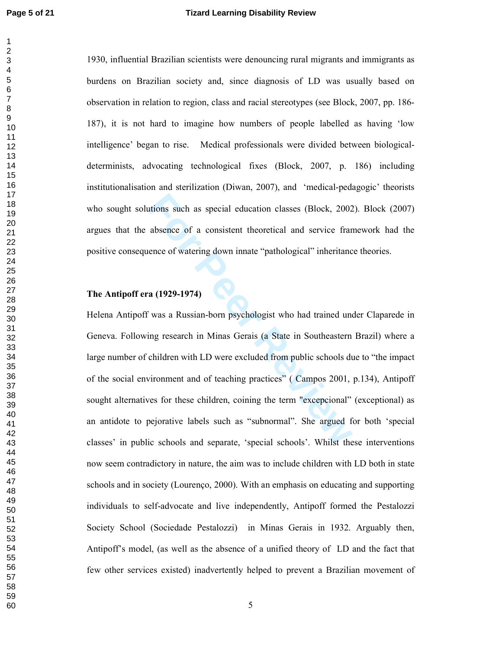1930, influential Brazilian scientists were denouncing rural migrants and immigrants as burdens on Brazilian society and, since diagnosis of LD was usually based on observation in relation to region, class and racial stereotypes (see Block, 2007, pp. 186-187), it is not hard to imagine how numbers of people labelled as having 'low intelligence' began to rise. Medical professionals were divided between biologicaldeterminists, advocating technological fixes (Block, 2007, p. 186) including institutionalisation and sterilization (Diwan, 2007), and 'medical-pedagogic' theorists who sought solutions such as special education classes (Block, 2002). Block (2007) argues that the absence of a consistent theoretical and service framework had the positive consequence of watering down innate "pathological" inheritance theories.

#### **The Antipoff era (1929-1974)**

itions such as special education classes (Block, 2002<br>absence of a consistent theoretical and service framence of watering down innate "pathological" inheritance<br>a (1929-1974)<br>a (1929-1974)<br>was a Russian-born psychologist Helena Antipoff was a Russian-born psychologist who had trained under Claparede in Geneva. Following research in Minas Gerais (a State in Southeastern Brazil) where a large number of children with LD were excluded from public schools due to "the impact of the social environment and of teaching practices" (Campos 2001, p.134), Antipoff sought alternatives for these children, coining the term "excepcional" (exceptional) as an antidote to pejorative labels such as "subnormal". She argued for both 'special classes' in public schools and separate, 'special schools'. Whilst these interventions now seem contradictory in nature, the aim was to include children with LD both in state schools and in society (Lourenço, 2000). With an emphasis on educating and supporting individuals to self-advocate and live independently, Antipoff formed the Pestalozzi Society School (Sociedade Pestalozzi) in Minas Gerais in 1932. Arguably then, Antipoff's model, (as well as the absence of a unified theory of LD and the fact that few other services existed) inadvertently helped to prevent a Brazilian movement of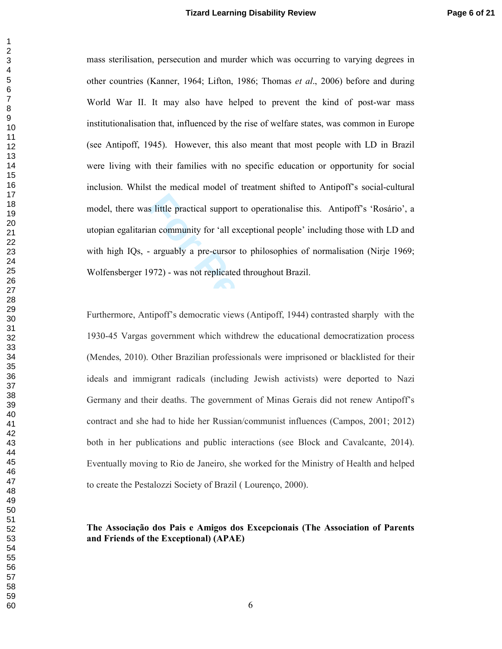mass sterilisation, persecution and murder which was occurring to varying degrees in other countries (Kanner, 1964; Lifton, 1986; Thomas et al., 2006) before and during World War II. It may also have helped to prevent the kind of post-war mass institutionalisation that, influenced by the rise of welfare states, was common in Europe (see Antipoff, 1945). However, this also meant that most people with LD in Brazil were living with their families with no specific education or opportunity for social inclusion. Whilst the medical model of treatment shifted to Antipoff's social-cultural model, there was little practical support to operationalise this. Antipoff's 'Rosário', a utopian egalitarian community for 'all exceptional people' including those with LD and with high IQs, - arguably a pre-cursor to philosophies of normalisation (Nirje 1969; Wolfensberger 1972) - was not replicated throughout Brazil.

Institute practical support to operationalise this. Antipo<br>an community for 'all exceptional people' including the<br>arguably a pre-cursor to philosophies of normalisati<br>972) - was not replicated throughout Brazil.<br>tipoff's Furthermore, Antipoff's democratic views (Antipoff, 1944) contrasted sharply with the 1930-45 Vargas government which withdrew the educational democratization process (Mendes, 2010). Other Brazilian professionals were imprisoned or blacklisted for their ideals and immigrant radicals (including Jewish activists) were deported to Nazi Germany and their deaths. The government of Minas Gerais did not renew Antipoff's contract and she had to hide her Russian/communist influences (Campos, 2001; 2012) both in her publications and public interactions (see Block and Cavalcante, 2014). Eventually moving to Rio de Janeiro, she worked for the Ministry of Health and helped to create the Pestalozzi Society of Brazil (Lourenço, 2000).

#### The Associação dos Pais e Amigos dos Excepcionais (The Association of Parents **and Friends of the Exceptional) (APAE)**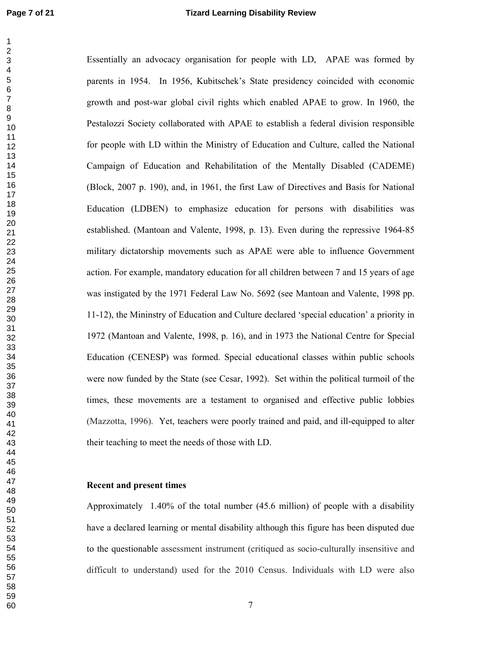Essentially an advocacy organisation for people with LD, APAE was formed by parents in 1954. In 1956, Kubitschek's State presidency coincided with economic growth and post-war global civil rights which enabled APAE to grow. In 1960, the Pestalozzi Society collaborated with APAE to establish a federal division responsible for people with LD within the Ministry of Education and Culture, called the National Campaign of Education and Rehabilitation of the Mentally Disabled (CADEME) (Block, 2007 p. 190), and, in 1961, the first Law of Directives and Basis for National Education (LDBEN) to emphasize education for persons with disabilities was established. (Mantoan and Valente, 1998, p. 13). Even during the repressive 1964-85 military dictatorship movements such as APAE were able to influence Government action. For example, mandatory education for all children between 7 and 15 years of age was instigated by the 1971 Federal Law No. 5692 (see Mantoan and Valente, 1998 pp. 11-12), the Mininstry of Education and Culture declared 'special education' a priority in 1972 (Mantoan and Valente, 1998, p. 16), and in 1973 the National Centre for Special Education (CENESP) was formed. Special educational classes within public schools were now funded by the State (see Cesar, 1992). Set within the political turmoil of the times, these movements are a testament to organised and effective public lobbies (Mazzotta, 1996). Yet, teachers were poorly trained and paid, and ill-equipped to alter their teaching to meet the needs of those with LD.

#### **Recent and present times**

Approximately 1.40% of the total number  $(45.6 \text{ million})$  of people with a disability have a declared learning or mental disability although this figure has been disputed due to the questionable assessment instrument (critiqued as socio-culturally insensitive and difficult to understand) used for the 2010 Census. Individuals with LD were also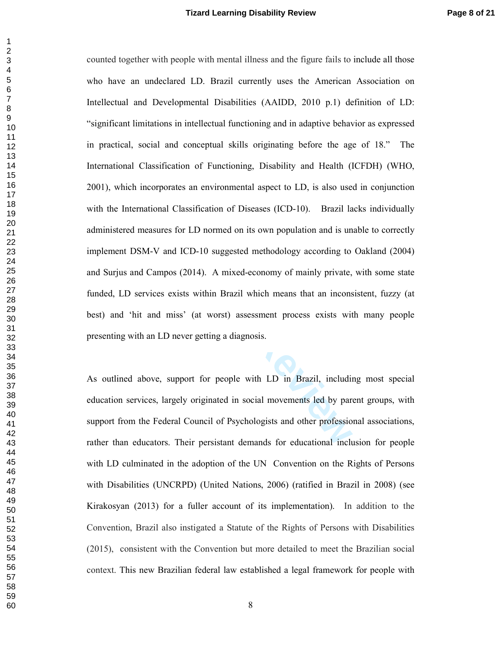counted together with people with mental illness and the figure fails to include all those who have an undeclared LD. Brazil currently uses the American Association on Intellectual and Developmental Disabilities (AAIDD, 2010 p.1) definition of LD: "significant limitations in intellectual functioning and in adaptive behavior as expressed in practical, social and conceptual skills originating before the age of 18." The International Classification of Functioning, Disability and Health (ICFDH) (WHO, 2001), which incorporates an environmental aspect to LD, is also used in conjunction with the International Classification of Diseases (ICD-10). Brazil lacks individually administered measures for LD normed on its own population and is unable to correctly implement DSM-V and ICD-10 suggested methodology according to Oakland (2004) and Surjus and Campos (2014). A mixed-economy of mainly private, with some state funded, LD services exists within Brazil which means that an inconsistent, fuzzy (at best) and 'hit and miss' (at worst) assessment process exists with many people presenting with an LD never getting a diagnosis.

As outlined above, support for people with LD in Brazil, including most special education services, largely originated in social movements led by parent groups, with support from the Federal Council of Psychologists and other professional associations, rather than educators. Their persistant demands for educational inclusion for people with LD culminated in the adoption of the UN Convention on the Rights of Persons with Disabilities (UNCRPD) (United Nations, 2006) (ratified in Brazil in 2008) (see Kirakosyan (2013) for a fuller account of its implementation). In addition to the Convention, Brazil also instigated a Statute of the Rights of Persons with Disabilities (2015), consistent with the Convention but more detailed to meet the Brazilian social context. This new Brazilian federal law established a legal framework for people with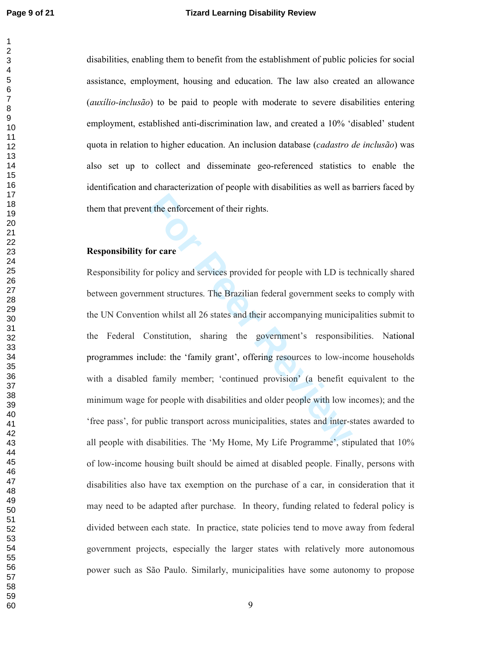disabilities, enabling them to benefit from the establishment of public policies for social assistance, employment, housing and education. The law also created an allowance *(auxilio-inclusão)* to be paid to people with moderate to severe disabilities entering employment, established anti-discrimination law, and created a 10% 'disabled' student quota in relation to higher education. An inclusion database (cadastro de inclusão) was also set up to collect and disseminate geo-referenced statistics to enable the identification and characterization of people with disabilities as well as barriers faced by them that prevent the enforcement of their rights.

#### **Responsibility for care**

Responsibility for policy and services provided for people with LD is technically shared between government structures. The Brazilian federal government seeks to comply with the UN Convention whilst all 26 states and their accompanying municipalities submit to the Federal Constitution, sharing the government's responsibilities. National programmes include: the 'family grant', offering resources to low-income households with a disabled family member; 'continued provision' (a benefit equivalent to the minimum wage for people with disabilities and older people with low incomes); and the 'free pass', for public transport across municipalities, states and inter-states awarded to all people with disabilities. The 'My Home, My Life Programme', stipulated that 10% of low-income housing built should be aimed at disabled people. Finally, persons with disabilities also have tax exemption on the purchase of a car, in consideration that it may need to be adapted after purchase. In theory, funding related to federal policy is divided between each state. In practice, state policies tend to move away from federal government projects, especially the larger states with relatively more autonomous power such as São Paulo. Similarly, municipalities have some autonomy to propose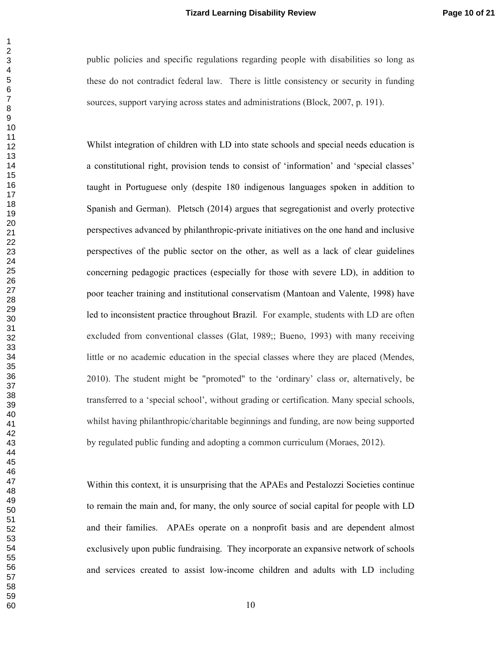public policies and specific regulations regarding people with disabilities so long as these do not contradict federal law. There is little consistency or security in funding sources, support varying across states and administrations (Block, 2007, p. 191).

Whilst integration of children with LD into state schools and special needs education is a constitutional right, provision tends to consist of 'information' and 'special classes' taught in Portuguese only (despite 180 indigenous languages spoken in addition to Spanish and German). Pletsch (2014) argues that segregationist and overly protective perspectives advanced by philanthropic-private initiatives on the one hand and inclusive perspectives of the public sector on the other, as well as a lack of clear guidelines concerning pedagogic practices (especially for those with severe LD), in addition to poor teacher training and institutional conservatism (Mantoan and Valente, 1998) have led to inconsistent practice throughout Brazil. For example, students with LD are often excluded from conventional classes (Glat, 1989; Bueno, 1993) with many receiving little or no academic education in the special classes where they are placed (Mendes, 2010). The student might be "promoted" to the 'ordinary' class or, alternatively, be transferred to a 'special school', without grading or certification. Many special schools, whilst having philanthropic/charitable beginnings and funding, are now being supported by regulated public funding and adopting a common curriculum (Moraes, 2012).

Within this context, it is unsurprising that the APAEs and Pestalozzi Societies continue to remain the main and, for many, the only source of social capital for people with LD and their families. APAEs operate on a nonprofit basis and are dependent almost exclusively upon public fundraising. They incorporate an expansive network of schools and services created to assist low-income children and adults with LD including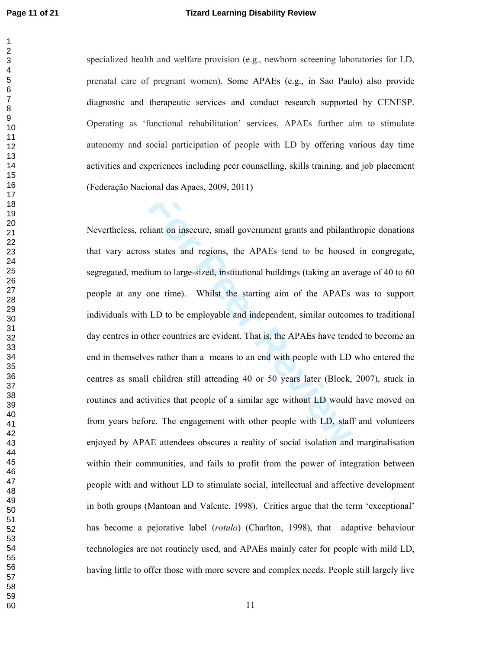#### **Tizard Learning Disability Review**

specialized health and welfare provision (e.g., newborn screening laboratories for LD, prenatal care of pregnant women). Some APAEs (e.g., in Sao Paulo) also provide diagnostic and therapeutic services and conduct research supported by CENESP. Operating as 'functional rehabilitation' services. APAEs further aim to stimulate autonomy and social participation of people with LD by offering various day time activities and experiences including peer counselling, skills training, and job placement (Federação Nacional das Apaes, 2009, 2011)

Nevertheless, reliant on insecure, small government grants and philanthropic donations that vary across states and regions, the APAEs tend to be housed in congregate, segregated, medium to large-sized, institutional buildings (taking an average of 40 to 60 people at any one time). Whilst the starting aim of the APAEs was to support individuals with LD to be employable and independent, similar outcomes to traditional day centres in other countries are evident. That is, the APAEs have tended to become an end in themselves rather than a means to an end with people with LD who entered the centres as small children still attending 40 or 50 years later (Block, 2007), stuck in routines and activities that people of a similar age without LD would have moved on from years before. The engagement with other people with LD, staff and volunteers enjoyed by APAE attendees obscures a reality of social isolation and marginalisation within their communities, and fails to profit from the power of integration between people with and without LD to stimulate social, intellectual and affective development in both groups (Mantoan and Valente, 1998). Critics argue that the term 'exceptional' has become a pejorative label (rotulo) (Charlton, 1998), that adaptive behaviour technologies are not routinely used, and APAEs mainly cater for people with mild LD, having little to offer those with more severe and complex needs. People still largely live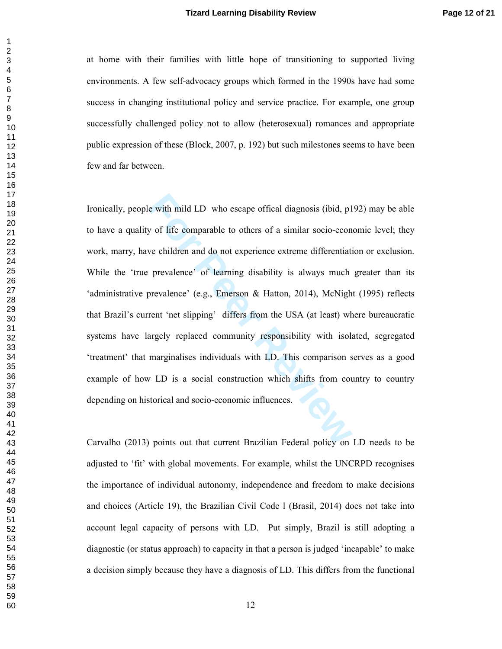at home with their families with little hope of transitioning to supported living environments. A few self-advocacy groups which formed in the 1990s have had some success in changing institutional policy and service practice. For example, one group successfully challenged policy not to allow (heterosexual) romances and appropriate public expression of these (Block, 2007, p. 192) but such milestones seems to have been few and far between.

Ironically, people with mild LD who escape offical diagnosis (ibid, p192) may be able to have a quality of life comparable to others of a similar socio-economic level; they work, marry, have children and do not experience extreme differentiation or exclusion. While the 'true prevalence' of learning disability is always much greater than its 'administrative prevalence' (e.g., Emerson & Hatton, 2014), McNight (1995) reflects that Brazil's current 'net slipping' differs from the USA (at least) where bureaucratic systems have largely replaced community responsibility with isolated, segregated 'treatment' that marginalises individuals with LD. This comparison serves as a good example of how LD is a social construction which shifts from country to country depending on historical and socio-economic influences.

Carvalho (2013) points out that current Brazilian Federal policy on LD needs to be adjusted to 'fit' with global movements. For example, whilst the UNCRPD recognises the importance of individual autonomy, independence and freedom to make decisions and choices (Article 19), the Brazilian Civil Code 1 (Brasil, 2014) does not take into account legal capacity of persons with LD. Put simply, Brazil is still adopting a diagnostic (or status approach) to capacity in that a person is judged 'incapable' to make a decision simply because they have a diagnosis of LD. This differs from the functional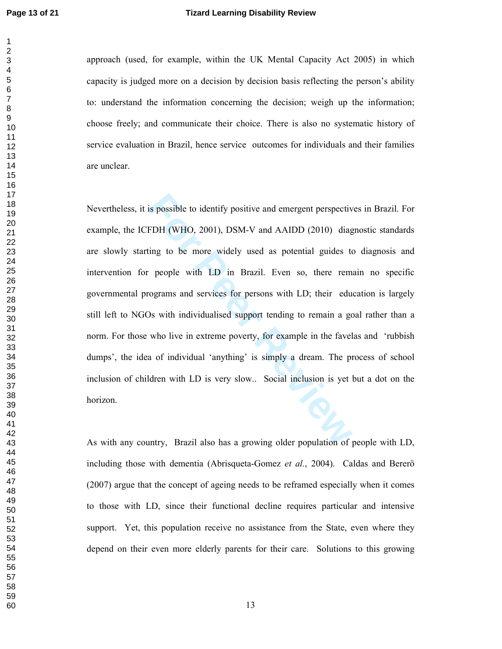$\mathbf{1}$  $\overline{2}$ 

#### **Tizard Learning Disability Review**

approach (used, for example, within the UK Mental Capacity Act 2005) in which capacity is judged more on a decision by decision basis reflecting the person's ability to: understand the information concerning the decision; weigh up the information; choose freely; and communicate their choice. There is also no systematic history of service evaluation in Brazil, hence service outcomes for individuals and their families are unclear.

Nevertheless, it is possible to identify positive and emergent perspectives in Brazil. For example, the ICFDH (WHO, 2001), DSM-V and AAIDD (2010) diagnostic standards are slowly starting to be more widely used as potential guides to diagnosis and intervention for people with LD in Brazil. Even so, there remain no specific governmental programs and services for persons with LD; their education is largely still left to NGOs with individualised support tending to remain a goal rather than a norm. For those who live in extreme poverty, for example in the favelas and 'rubbish dumps', the idea of individual 'anything' is simply a dream. The process of school inclusion of children with LD is very slow.. Social inclusion is yet but a dot on the horizon.

As with any country, Brazil also has a growing older population of people with LD, including those with dementia (Abrisqueta-Gomez et al., 2004). Caldas and Berero (2007) argue that the concept of ageing needs to be reframed especially when it comes to those with LD, since their functional decline requires particular and intensive support. Yet, this population receive no assistance from the State, even where they depend on their even more elderly parents for their care. Solutions to this growing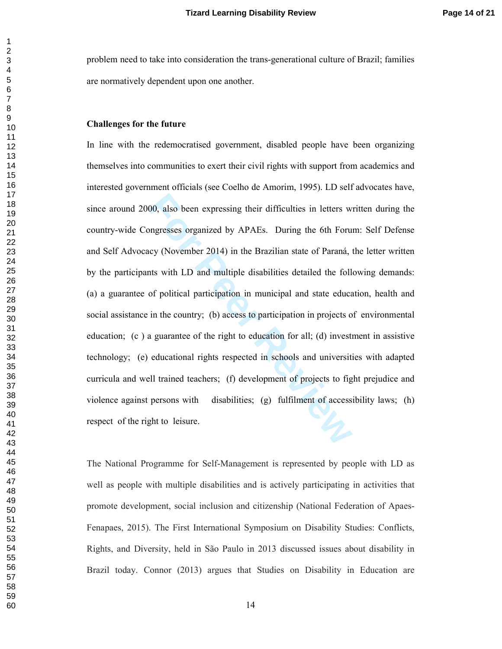problem need to take into consideration the trans-generational culture of Brazil; families are normatively dependent upon one another.

#### **Challenges for the future**

In line with the redemocratised government, disabled people have been organizing themselves into communities to exert their civil rights with support from academics and interested government officials (see Coelho de Amorim, 1995). LD self advocates have, since around 2000, also been expressing their difficulties in letters written during the country-wide Congresses organized by APAEs. During the 6th Forum: Self Defense and Self Advocacy (November 2014) in the Brazilian state of Paraná, the letter written by the participants with LD and multiple disabilities detailed the following demands: (a) a guarantee of political participation in municipal and state education, health and social assistance in the country; (b) access to participation in projects of environmental education;  $(c)$  a guarantee of the right to education for all; (d) investment in assistive technology; (e) educational rights respected in schools and universities with adapted curricula and well trained teachers; (f) development of projects to fight prejudice and violence against persons with disabilities; (g) fulfilment of accessibility laws; (h) respect of the right to leisure.

The National Programme for Self-Management is represented by people with LD as well as people with multiple disabilities and is actively participating in activities that promote development, social inclusion and citizenship (National Federation of Apaes-Fenapaes, 2015). The First International Symposium on Disability Studies: Conflicts, Rights, and Diversity, held in São Paulo in 2013 discussed issues about disability in Brazil today. Connor (2013) argues that Studies on Disability in Education are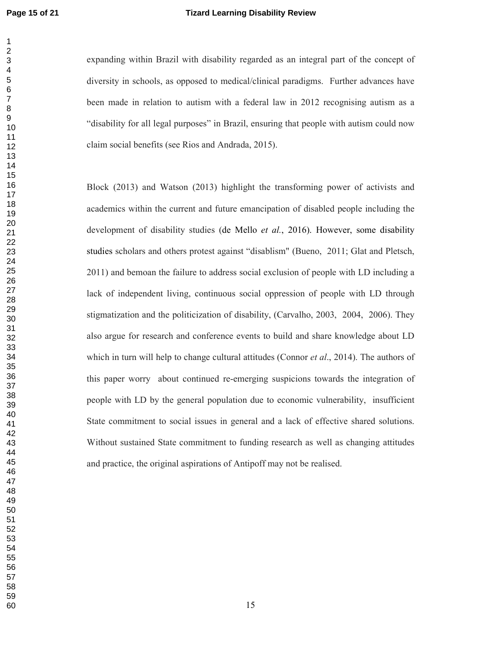$\mathbf{1}$  $\overline{2}$ 

#### **Page 15 of 21 Tizard Learning Disability Review**

expanding within Brazil with disability regarded as an integral part of the concept of diversity in schools, as opposed to medical/clinical paradigms. Further advances have been made in relation to autism with a federal law in 2012 recognising autism as a "disability for all legal purposes" in Brazil, ensuring that people with autism could now claim social benefits (see Rios and Andrada, 2015).

In the current and future emancipation of disabled peop disability studies (de Mello *et al.*, 2016). However, and others protest against "disablism" (Bueno, 2011; Can the failure to address social exclusion of people with Block (2013) and Watson (2013) highlight the transforming power of activists and academics within the current and future emancipation of disabled people including the development of disability studies (de Mello et al., 2016). However, some disability studies scholars and others protest against "disablism" (Bueno, 2011; Glat and Pletsch, 2011) and bemoan the failure to address social exclusion of people with LD including a lack of independent living, continuous social oppression of people with LD through stigmatization and the politicization of disability, (Carvalho, 2003, 2004, 2006). They also argue for research and conference events to build and share knowledge about LD which in turn will help to change cultural attitudes (Connor  $et al., 2014$ ). The authors of this paper worry about continued re-emerging suspicions towards the integration of people with LD by the general population due to economic vulnerability, insufficient State commitment to social issues in general and a lack of effective shared solutions. Without sustained State commitment to funding research as well as changing attitudes and practice, the original aspirations of Antipoff may not be realised.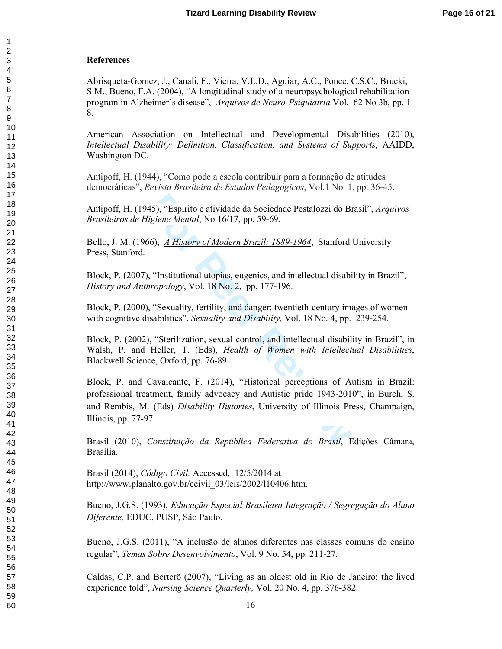#### **References**

Abrisqueta-Gomez, J., Canali, F., Vieira, V.L.D., Aguiar, A.C., Ponce, C.S.C., Brucki, S.M., Bueno, F.A. (2004), "A longitudinal study of a neuropsychological rehabilitation program in Alzheimer's disease", Arquivos de Neuro-Psiquiatria, Vol. 62 No 3b, pp. 1-8.

American Association on Intellectual and Developmental Disabilities (2010), Intellectual Disability: Definition, Classification, and Systems of Supports, AAIDD, Washington DC.

Antipoff, H. (1944), "Como pode a escola contribuir para a formação de atitudes democráticas", *Revista Brasileira de Estudos Pedagógicos*, Vol.1 No. 1, pp. 36-45.

Antipoff, H. (1945), "Espirito e atividade da Sociedade Pestalozzi do Brasil", Arquivos *Brasileiros de Higiene Mental*, No 16/17, pp. 59-69.

Bello, J. M. (1966), *A History of Modern Brazil: 1889-1964*, Stanford University Press, Stanford.

Block, P. (2007), "Institutional utopias, eugenics, and intellectual disability in Brazil", *History and Anthropology*, Vol. 18 No. 2, pp. 177-196.

Block, P. (2000), "Sexuality, fertility, and danger: twentieth-century images of women with cognitive disabilities", Sexuality and Disability, Vol. 18 No. 4, pp. 239-254.

Block, P. (2002), "Sterilization, sexual control, and intellectual disability in Brazil", in Walsh, P. and Heller, T. (Eds), *Health of Women with Intellectual Disabilities*, Blackwell Science, Oxford, pp. 76-89.

45), "Espirito e atividade da Sociedade Pestalozzi do Br<br>igiene Mental, No 16/17, pp. 59-69.<br>66), <u>A History of Modern Brazil: 1889-1964</u>, Stanford<br>"Institutional utopias, eugenics, and intellectual disabi<br>iropology, Vol. Block, P. and Cavalcante, F. (2014), "Historical perceptions of Autism in Brazil: professional treatment, family advocacy and Autistic pride 1943-2010", in Burch, S. and Rembis, M. (Eds) Disability Histories, University of Illinois Press, Champaign, Illinois, pp.  $77-97$ .

Brasil (2010), Constituição da República Federativa do Brasil, Edições Câmara, Brasília.

Brasil (2014), *Código Civil.* Accessed, 12/5/2014 at http://www.planalto.gov.br/ccivil\_03/leis/2002/110406.htm.

Bueno, J.G.S. (1993), *Educação Especial Brasileira Integração / Segregação do Aluno* Diferente, EDUC, PUSP, São Paulo.

Bueno, J.G.S. (2011), "A inclusão de alunos diferentes nas classes comuns do ensino regular", Temas Sobre Desenvolvimento, Vol. 9 No. 54, pp. 211-27.

Caldas, C.P. and Berterö (2007), "Living as an oldest old in Rio de Janeiro: the lived experience told", *Nursing Science Quarterly*, Vol. 20 No. 4, pp. 376-382.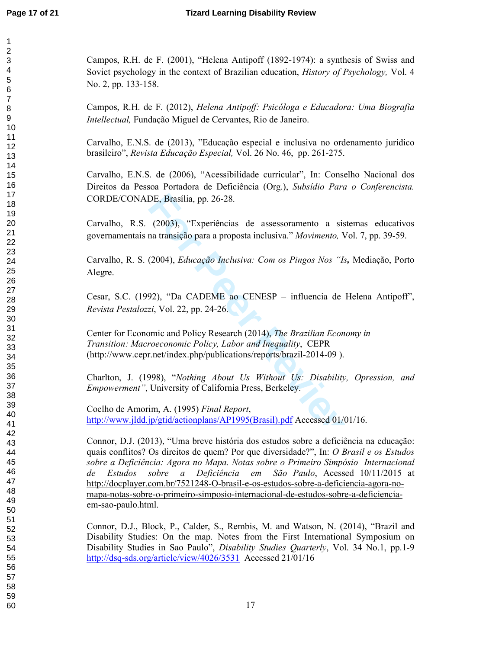Campos, R.H. de F.  $(2001)$ , "Helena Antipoff  $(1892-1974)$ : a synthesis of Swiss and Soviet psychology in the context of Brazilian education, *History of Psychology*, Vol. 4 No. 2, pp. 133-158.

Campos, R.H. de F. (2012), *Helena Antipoff: Psicóloga e Educadora: Uma Biografia* Intellectual, Fundação Miguel de Cervantes, Rio de Janeiro.

Carvalho, E.N.S. de (2013), "Educação especial e inclusiva no ordenamento jurídico brasileiro", *Revista Educação Especial*, Vol. 26 No. 46, pp. 261-275.

Carvalho, E.N.S. de (2006), "Acessibilidade curricular", In: Conselho Nacional dos Direitos da Pessoa Portadora de Deficiência (Org.), Subsídio Para o Conferencista. CORDE/CONADE, Brasília, pp. 26-28.

Carvalho, R.S. (2003), "Experiências de assessoramento a sistemas educativos governamentais na transição para a proposta inclusiva." Movimento, Vol. 7, pp. 39-59.

Carvalho, R. S. (2004), *Educação Inclusiva: Com os Pingos Nos "Is*, Mediação, Porto Alegre.

Cesar, S.C. (1992), "Da CADEME ao CENESP – influencia de Helena Antipoff", *Revista Pestalozzi*, Vol. 22, pp. 24-26.

DE, Brasília, pp. 26-28.<br>
(2003), "Experiências de assessoramento a siste<br>
ma transição para a proposta inclusiva." *Movimento*, Vo<br>
(2004), *Educação Inclusiva: Com os Pingos Nos "Is*,<br>
92), "Da CADEME ao CENESP – influen Center for Economic and Policy Research (2014), The Brazilian Economy in Transition: Macroeconomic Policy, Labor and Inequality, CEPR (http://www.cepr.net/index.php/publications/reports/brazil-2014-09).

Charlton, J. (1998), "Nothing About Us Without Us: Disability, Opression, and *Empowerment"*, University of California Press, Berkeley.

Coelho de Amorim, A. (1995) Final Report, http://www.jldd.jp/gtid/actionplans/AP1995(Brasil).pdf Accessed 01/01/16.

Connor, D.J. (2013), "Uma breve história dos estudos sobre a deficiência na educação: quais conflitos? Os direitos de quem? Por que diversidade?", In: O Brasil e os Estudos sobre a Deficiência: Agora no Mapa. Notas sobre o Primeiro Simpósio Internacional de Estudos sobre a Deficiência em São-Paulo, Acessed 10/11/2015 at http://docplayer.com.br/7521248-O-brasil-e-os-estudos-sobre-a-deficiencia-agora-nomapa-notas-sobre-o-primeiro-simposio-internacional-de-estudos-sobre-a-deficienciaem-sao-paulo.html.

Connor, D.J., Block, P., Calder, S., Rembis, M. and Watson, N. (2014), "Brazil and Disability Studies: On the map. Notes from the First International Symposium on Disability Studies in Sao Paulo", *Disability Studies Quarterly*, Vol. 34 No.1, pp.1-9 http://dsq-sds.org/article/view/4026/3531 Accessed 21/01/16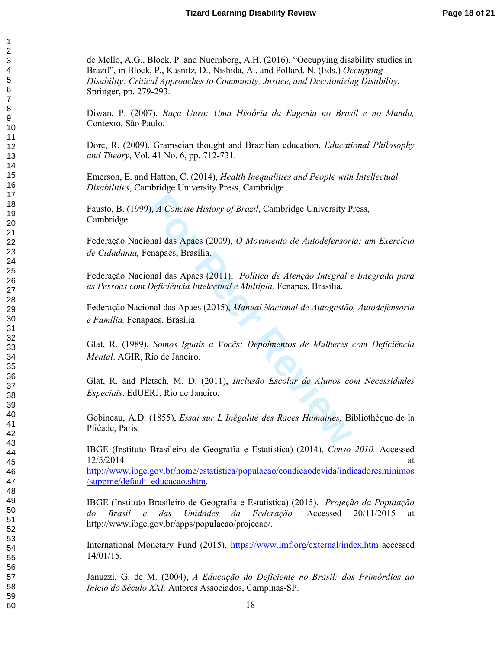de Mello, A.G., Block, P. and Nuernberg, A.H. (2016), "Occupying disability studies in Brazil", in Block, P., Kasnitz, D., Nishida, A., and Pollard, N. (Eds.) Occupying Disability: Critical Approaches to Community, Justice, and Decolonizing Disability, Springer, pp. 279-293.

Diwan, P. (2007), Raça Uura: Uma História da Eugenia no Brasil e no Mundo, Contexto, São Paulo.

Dore, R. (2009), Gramscian thought and Brazilian education, *Educational Philosophy* and Theory, Vol. 41 No. 6, pp. 712-731.

Emerson, E. and Hatton, C. (2014), *Health Inequalities and People with Intellectual* Disabilities, Cambridge University Press, Cambridge.

Fausto, B. (1999), *A Concise History of Brazil*, Cambridge University Press, Cambridge.

Federação Nacional das Apaes (2009), O Movimento de Autodefensoria: um Exercício de Cidadania, Fenapaes, Brasília.

Federação Nacional das Apaes (2011), Política de Atenção Integral e Integrada para as Pessoas com Deficiência Intelectual e Múltipla, Fenapes, Brasília.

**Formal das Apaes (2009),** *O Movimento de Autodefensori* **enapaes, Brasília.<br>
Formal das Apaes (2009),** *O Movimento de Autodefensori* **enapaes, Brasília.<br>
Formal das Apaes (2011),** *Política de Atenção Integral e Deficiência* Federação Nacional das Apaes (2015), Manual Nacional de Autogestão, Autodefensoria e Família. Fenapaes, Brasília.

Glat, R. (1989), Somos Iguais a Vocês: Depoimentos de Mulheres com Deficiência *Mental.* AGIR, Rio de Janeiro.

Glat, R. and Pletsch, M. D. (2011), *Inclusão Escolar de Alunos com Necessidades* Especiais. EdUERJ, Rio de Janeiro.

Gobineau, A.D. (1855), *Essai sur L'Inégalité des Races Humaines*, Bibliothèque de la Pliéade, Paris.

IBGE (Instituto Brasileiro de Geografia e Estatística) (2014), Censo 2010. Accessed  $12/5/2014$ at the contract of the contract of the contract of the contract of the contract of the contract of the contract of the contract of the contract of the contract of the contract of the contract of the contract of the contrac at

http://www.ibge.gov.br/home/estatistica/populacao/condicaodevida/indicadoresminimos /suppme/default\_educacao.shtm.

IBGE (Instituto Brasileiro de Geografia e Estatística) (2015). *Projeção da População* do Brasil e das Unidades da Federação. Accessed 20/11/2015 at http://www.ibge.gov.br/apps/populacao/projecao/.

International Monetary Fund (2015), https://www.imf.org/external/index.htm accessed  $14/01/15$ .

Januzzi, G. de M. (2004), A Educação do Deficiente no Brasil: dos Primórdios ao *Início do Século XXI*, Autores Associados, Campinas-SP.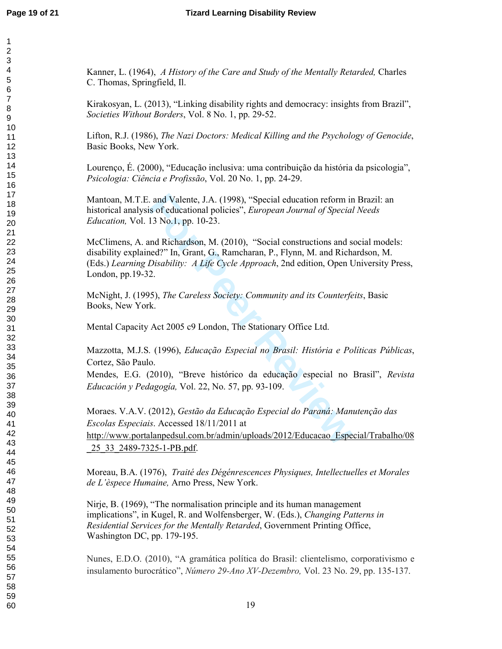Kanner, L. (1964), A History of the Care and Study of the Mentally Retarded, Charles C. Thomas, Springfield, Il.

Kirakosyan, L. (2013), "Linking disability rights and democracy: insights from Brazil", Societies Without Borders, Vol. 8 No. 1, pp. 29-52.

Lifton, R.J. (1986), The Nazi Doctors: Medical Killing and the Psychology of Genocide, Basic Books, New York.

Lourenço, É. (2000), "Educação inclusiva: uma contribuição da história da psicologia", Psicologia: Ciência e Profissão, Vol. 20 No. 1, pp. 24-29.

Mantoan, M.T.E. and Valente, J.A. (1998), "Special education reform in Brazil: an historical analysis of educational policies", *European Journal of Special Needs Education*, Vol. 13 No.1, pp. 10-23.

and Valente, J.A. (1998), "Special education reform in<br>
is of educational policies", *European Journal of Special*<br>
13 No.1, pp. 10-23.<br>
and Richardson, M. (2010), "Social constructions and s<br>
hed?" In, Grant, G., Ramchara McClimens, A. and Richardson, M. (2010), "Social constructions and social models: disability explained?" In, Grant, G., Ramcharan, P., Flynn, M. and Richardson, M. (Eds.) Learning Disability: A Life Cycle Approach, 2nd edition, Open University Press, London, pp.19-32.

McNight, J. (1995), The Careless Society: Community and its Counterfeits, Basic Books, New York.

Mental Capacity Act 2005 c9 London, The Stationary Office Ltd.

Mazzotta, M.J.S. (1996), *Educação Especial no Brasil: História e Políticas Públicas*, Cortez, São Paulo.

Mendes, E.G. (2010), "Breve histórico da educação especial no Brasil", Revista Educación y Pedagogía, Vol. 22, No. 57, pp. 93-109.

Moraes. V.A.V. (2012), Gestão da Educação Especial do Paraná: Manutenção das Escolas Especiais. Accessed 18/11/2011 at http://www.portalanpedsul.com.br/admin/uploads/2012/Educacao\_Especial/Trabalho/08 25 33 2489-7325-1-PB.pdf.

Moreau, B.A. (1976), Traité des Dégénrescences Physiques, Intellectuelles et Morales *de L'èspece Humaine, Arno Press, New York.* 

Nirje, B. (1969), "The normalisation principle and its human management implications", in Kugel, R. and Wolfensberger, W. (Eds.), Changing Patterns in Residential Services for the Mentally Retarded, Government Printing Office, Washington DC, pp. 179-195.

Nunes, E.D.O. (2010), "A gramática política do Brasil: clientelismo, corporativismo e insulamento burocrático", Número 29-Ano XV-Dezembro, Vol. 23 No. 29, pp. 135-137.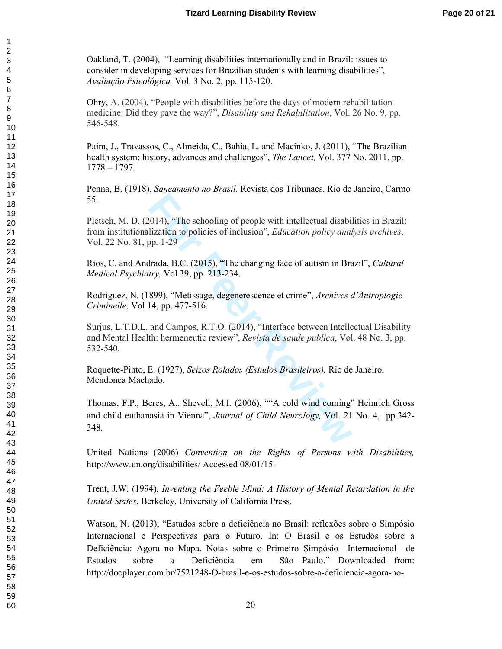Oakland, T. (2004), "Learning disabilities internationally and in Brazil: issues to consider in developing services for Brazilian students with learning disabilities", *Avaliação Psicológica, Vol. 3 No. 2, pp. 115-120.* 

Ohry, A. (2004), "People with disabilities before the days of modern rehabilitation medicine: Did they pave the way?", *Disability and Rehabilitation*, Vol. 26 No. 9, pp. 546-548.

Paim, J., Travassos, C., Almeida, C., Bahia, L. and Macinko, J. (2011), "The Brazilian health system: history, advances and challenges", *The Lancet*, Vol. 377 No. 2011, pp.  $1778 - 1797.$ 

Penna, B. (1918), Saneamento no Brasil. Revista dos Tribunaes, Rio de Janeiro, Carmo 55.

Pletsch, M. D. (2014), "The schooling of people with intellectual disabilities in Brazil: from institutionalization to policies of inclusion", *Education policy analysis archives*, Vol. 22 No. 81, pp. 1-29

Rios, C. and Andrada, B.C. (2015), "The changing face of autism in Brazil", Cultural *Medical Psychiatry*, Vol 39, pp. 213-234.

Rodriguez, N. (1899), "Metissage, degenerescence et crime", Archives d'Antroplogie *Criminelle, Vol 14, pp. 477-516.* 

Surjus, L.T.D.L. and Campos, R.T.O. (2014), "Interface between Intellectual Disability and Mental Health: hermeneutic review", *Revista de saude publica*, Vol. 48 No. 3, pp. 532-540.

Roquette-Pinto, E. (1927), Seizos Rolados (Estudos Brasileiros), Rio de Janeiro, Mendonca Machado.

1014), "The schooling of people with intellectual disabilization to policies of inclusion", *Education policy anal* pp. 1-29<br> **From Peer Peer Reviews** of inclusion", *Education policy anal* try, Vol 39, pp. 213-234.<br> **S99)** Thomas, F.P., Beres, A., Shevell, M.I. (2006), ""A cold wind coming" Heinrich Gross and child euthanasia in Vienna", *Journal of Child Neurology*, Vol. 21 No. 4, pp.342-348.

United Nations (2006) Convention on the Rights of Persons with Disabilities, http://www.un.org/disabilities/ Accessed 08/01/15.

Trent, J.W. (1994), Inventing the Feeble Mind: A History of Mental Retardation in the United States, Berkeley, University of California Press.

Watson, N. (2013), "Estudos sobre a deficiência no Brasil: reflexões sobre o Simpósio Internacional e Perspectivas para o Futuro. In: O Brasil e os Estudos sobre a Deficiência: Agora no Mapa. Notas sobre o Primeiro Simpósio Internacional de Estudos sobre a<sup>2</sup> Deficiência em São Paulo." Downloaded from: http://docplayer.com.br/7521248-O-brasil-e-os-estudos-sobre-a-deficiencia-agora-no-